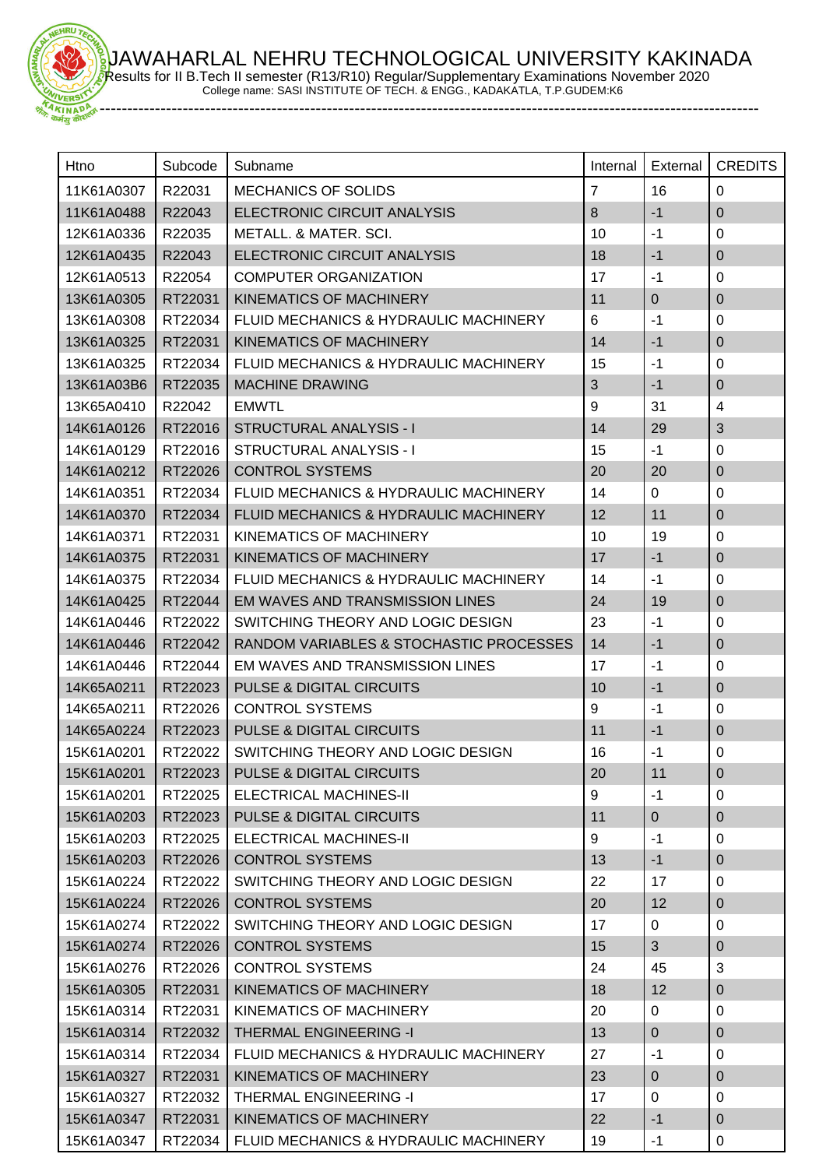JAWAHARLAL NEHRU TECHNOLOGICAL UNIVERSITY KAKINADA Results for II B.Tech II semester (R13/R10) Regular/Supplementary Examinations November 2020



College name: SASI INSTITUTE OF TECH. & ENGG., KADAKATLA, T.P.GUDEM:K6

-----------------------------------------------------------------------------------------------------------------------

| Htno       | Subcode | Subname                                 | Internal       | External       | <b>CREDITS</b> |
|------------|---------|-----------------------------------------|----------------|----------------|----------------|
| 11K61A0307 | R22031  | <b>MECHANICS OF SOLIDS</b>              | $\overline{7}$ | 16             | $\Omega$       |
| 11K61A0488 | R22043  | ELECTRONIC CIRCUIT ANALYSIS             | 8              | $-1$           | $\mathbf 0$    |
| 12K61A0336 | R22035  | <b>METALL. &amp; MATER. SCI.</b>        | 10             | $-1$           | 0              |
| 12K61A0435 | R22043  | ELECTRONIC CIRCUIT ANALYSIS             | 18             | $-1$           | $\overline{0}$ |
| 12K61A0513 | R22054  | <b>COMPUTER ORGANIZATION</b>            | 17             | $-1$           | 0              |
| 13K61A0305 | RT22031 | <b>KINEMATICS OF MACHINERY</b>          | 11             | $\mathbf{0}$   | $\overline{0}$ |
| 13K61A0308 | RT22034 | FLUID MECHANICS & HYDRAULIC MACHINERY   | 6              | $-1$           | 0              |
| 13K61A0325 | RT22031 | <b>KINEMATICS OF MACHINERY</b>          | 14             | $-1$           | $\mathbf 0$    |
| 13K61A0325 | RT22034 | FLUID MECHANICS & HYDRAULIC MACHINERY   | 15             | $-1$           | 0              |
| 13K61A03B6 | RT22035 | <b>MACHINE DRAWING</b>                  | 3              | $-1$           | $\overline{0}$ |
| 13K65A0410 | R22042  | <b>EMWTL</b>                            | 9              | 31             | 4              |
| 14K61A0126 | RT22016 | <b>STRUCTURAL ANALYSIS - I</b>          | 14             | 29             | $\mathfrak{S}$ |
| 14K61A0129 | RT22016 | STRUCTURAL ANALYSIS - I                 | 15             | $-1$           | 0              |
| 14K61A0212 | RT22026 | <b>CONTROL SYSTEMS</b>                  | 20             | 20             | $\mathbf 0$    |
| 14K61A0351 | RT22034 | FLUID MECHANICS & HYDRAULIC MACHINERY   | 14             | 0              | 0              |
| 14K61A0370 | RT22034 | FLUID MECHANICS & HYDRAULIC MACHINERY   | 12             | 11             | $\overline{0}$ |
| 14K61A0371 | RT22031 | KINEMATICS OF MACHINERY                 | 10             | 19             | 0              |
| 14K61A0375 | RT22031 | <b>KINEMATICS OF MACHINERY</b>          | 17             | $-1$           | $\mathbf 0$    |
| 14K61A0375 | RT22034 | FLUID MECHANICS & HYDRAULIC MACHINERY   | 14             | $-1$           | 0              |
| 14K61A0425 | RT22044 | EM WAVES AND TRANSMISSION LINES         | 24             | 19             | $\mathbf 0$    |
| 14K61A0446 | RT22022 | SWITCHING THEORY AND LOGIC DESIGN       | 23             | $-1$           | 0              |
| 14K61A0446 | RT22042 | RANDOM VARIABLES & STOCHASTIC PROCESSES | 14             | $-1$           | $\mathbf 0$    |
| 14K61A0446 | RT22044 | EM WAVES AND TRANSMISSION LINES         | 17             | $-1$           | 0              |
| 14K65A0211 | RT22023 | <b>PULSE &amp; DIGITAL CIRCUITS</b>     | 10             | $-1$           | $\mathbf 0$    |
| 14K65A0211 | RT22026 | <b>CONTROL SYSTEMS</b>                  | 9              | $-1$           | 0              |
| 14K65A0224 | RT22023 | <b>PULSE &amp; DIGITAL CIRCUITS</b>     | 11             | $-1$           | $\overline{0}$ |
| 15K61A0201 | RT22022 | SWITCHING THEORY AND LOGIC DESIGN       | 16             | $-1$           | $\mathbf 0$    |
| 15K61A0201 |         | RT22023 PULSE & DIGITAL CIRCUITS        | 20             | 11             | $\mathbf 0$    |
| 15K61A0201 | RT22025 | <b>ELECTRICAL MACHINES-II</b>           | 9              | $-1$           | 0              |
| 15K61A0203 | RT22023 | <b>PULSE &amp; DIGITAL CIRCUITS</b>     | 11             | $\overline{0}$ | $\mathbf 0$    |
| 15K61A0203 | RT22025 | ELECTRICAL MACHINES-II                  | 9              | $-1$           | 0              |
| 15K61A0203 | RT22026 | <b>CONTROL SYSTEMS</b>                  | 13             | $-1$           | $\mathbf 0$    |
| 15K61A0224 | RT22022 | SWITCHING THEORY AND LOGIC DESIGN       | 22             | 17             | 0              |
| 15K61A0224 | RT22026 | <b>CONTROL SYSTEMS</b>                  | 20             | 12             | $\mathbf{0}$   |
| 15K61A0274 | RT22022 | SWITCHING THEORY AND LOGIC DESIGN       | 17             | 0              | 0              |
| 15K61A0274 | RT22026 | <b>CONTROL SYSTEMS</b>                  | 15             | 3              | $\mathbf{0}$   |
| 15K61A0276 | RT22026 | <b>CONTROL SYSTEMS</b>                  | 24             | 45             | 3              |
| 15K61A0305 | RT22031 | <b>KINEMATICS OF MACHINERY</b>          | 18             | 12             | $\mathbf 0$    |
| 15K61A0314 | RT22031 | KINEMATICS OF MACHINERY                 | 20             | 0              | 0              |
| 15K61A0314 | RT22032 | <b>THERMAL ENGINEERING -I</b>           | 13             | $\overline{0}$ | $\mathbf 0$    |
| 15K61A0314 | RT22034 | FLUID MECHANICS & HYDRAULIC MACHINERY   | 27             | $-1$           | 0              |
| 15K61A0327 | RT22031 | <b>KINEMATICS OF MACHINERY</b>          | 23             | $\overline{0}$ | $\mathbf 0$    |
| 15K61A0327 | RT22032 | THERMAL ENGINEERING -I                  | 17             | $\mathbf 0$    | 0              |
| 15K61A0347 | RT22031 | KINEMATICS OF MACHINERY                 | 22             | $-1$           | $\mathbf{0}$   |
| 15K61A0347 | RT22034 | FLUID MECHANICS & HYDRAULIC MACHINERY   | 19             | $-1$           | 0              |